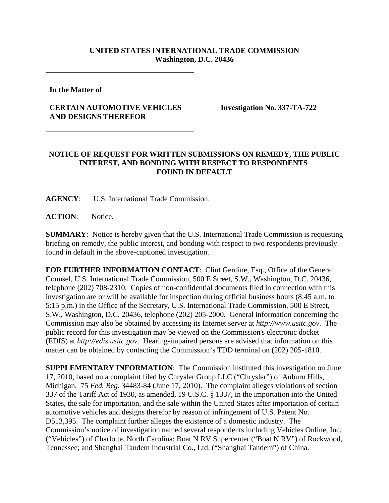## **UNITED STATES INTERNATIONAL TRADE COMMISSION Washington, D.C. 20436**

**In the Matter of** 

## **CERTAIN AUTOMOTIVE VEHICLES AND DESIGNS THEREFOR**

**Investigation No. 337-TA-722**

## **NOTICE OF REQUEST FOR WRITTEN SUBMISSIONS ON REMEDY, THE PUBLIC INTEREST, AND BONDING WITH RESPECT TO RESPONDENTS FOUND IN DEFAULT**

**AGENCY**: U.S. International Trade Commission.

**ACTION**: Notice.

**SUMMARY**: Notice is hereby given that the U.S. International Trade Commission is requesting briefing on remedy, the public interest, and bonding with respect to two respondents previously found in default in the above-captioned investigation.

**FOR FURTHER INFORMATION CONTACT**: Clint Gerdine, Esq., Office of the General Counsel, U.S. International Trade Commission, 500 E Street, S.W., Washington, D.C. 20436, telephone (202) 708-2310. Copies of non-confidential documents filed in connection with this investigation are or will be available for inspection during official business hours (8:45 a.m. to 5:15 p.m.) in the Office of the Secretary, U.S. International Trade Commission, 500 E Street, S.W., Washington, D.C. 20436, telephone (202) 205-2000. General information concerning the Commission may also be obtained by accessing its Internet server at *http://www.usitc.gov*. The public record for this investigation may be viewed on the Commission's electronic docket (EDIS) at *http://edis.usitc.gov*. Hearing-impaired persons are advised that information on this matter can be obtained by contacting the Commission's TDD terminal on (202) 205-1810.

**SUPPLEMENTARY INFORMATION**: The Commission instituted this investigation on June 17, 2010, based on a complaint filed by Chrysler Group LLC ("Chrysler") of Auburn Hills, Michigan. 75 *Fed. Reg.* 34483-84 (June 17, 2010). The complaint alleges violations of section 337 of the Tariff Act of 1930, as amended, 19 U.S.C. § 1337, in the importation into the United States, the sale for importation, and the sale within the United States after importation of certain automotive vehicles and designs therefor by reason of infringement of U.S. Patent No. D513,395. The complaint further alleges the existence of a domestic industry. The Commission's notice of investigation named several respondents including Vehicles Online, Inc. ("Vehicles") of Charlotte, North Carolina; Boat N RV Supercenter ("Boat N RV") of Rockwood, Tennessee; and Shanghai Tandem Industrial Co., Ltd. ("Shanghai Tandem") of China.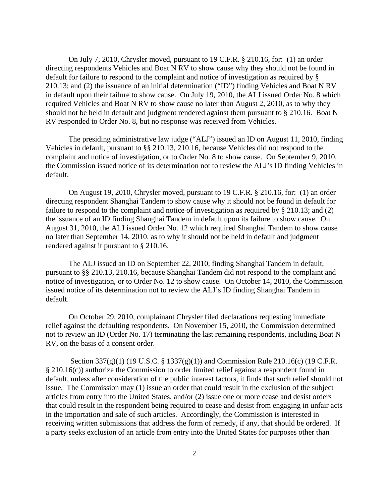On July 7, 2010, Chrysler moved, pursuant to 19 C.F.R. § 210.16, for: (1) an order directing respondents Vehicles and Boat N RV to show cause why they should not be found in default for failure to respond to the complaint and notice of investigation as required by § 210.13; and (2) the issuance of an initial determination ("ID") finding Vehicles and Boat N RV in default upon their failure to show cause. On July 19, 2010, the ALJ issued Order No. 8 which required Vehicles and Boat N RV to show cause no later than August 2, 2010, as to why they should not be held in default and judgment rendered against them pursuant to § 210.16. Boat N RV responded to Order No. 8, but no response was received from Vehicles.

The presiding administrative law judge ("ALJ") issued an ID on August 11, 2010, finding Vehicles in default, pursuant to §§ 210.13, 210.16, because Vehicles did not respond to the complaint and notice of investigation, or to Order No. 8 to show cause. On September 9, 2010, the Commission issued notice of its determination not to review the ALJ's ID finding Vehicles in default.

 On August 19, 2010, Chrysler moved, pursuant to 19 C.F.R. § 210.16, for: (1) an order directing respondent Shanghai Tandem to show cause why it should not be found in default for failure to respond to the complaint and notice of investigation as required by § 210.13; and (2) the issuance of an ID finding Shanghai Tandem in default upon its failure to show cause. On August 31, 2010, the ALJ issued Order No. 12 which required Shanghai Tandem to show cause no later than September 14, 2010, as to why it should not be held in default and judgment rendered against it pursuant to § 210.16.

The ALJ issued an ID on September 22, 2010, finding Shanghai Tandem in default, pursuant to §§ 210.13, 210.16, because Shanghai Tandem did not respond to the complaint and notice of investigation, or to Order No. 12 to show cause. On October 14, 2010, the Commission issued notice of its determination not to review the ALJ's ID finding Shanghai Tandem in default.

On October 29, 2010, complainant Chrysler filed declarations requesting immediate relief against the defaulting respondents. On November 15, 2010, the Commission determined not to review an ID (Order No. 17) terminating the last remaining respondents, including Boat N RV, on the basis of a consent order.

 Section 337(g)(1) (19 U.S.C. § 1337(g)(1)) and Commission Rule 210.16(c) (19 C.F.R. § 210.16(c)) authorize the Commission to order limited relief against a respondent found in default, unless after consideration of the public interest factors, it finds that such relief should not issue. The Commission may (1) issue an order that could result in the exclusion of the subject articles from entry into the United States, and/or (2) issue one or more cease and desist orders that could result in the respondent being required to cease and desist from engaging in unfair acts in the importation and sale of such articles. Accordingly, the Commission is interested in receiving written submissions that address the form of remedy, if any, that should be ordered. If a party seeks exclusion of an article from entry into the United States for purposes other than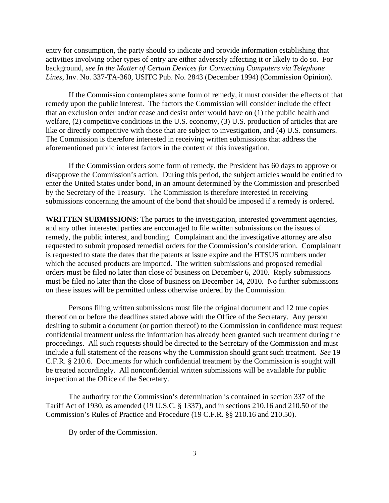entry for consumption, the party should so indicate and provide information establishing that activities involving other types of entry are either adversely affecting it or likely to do so. For background, *see In the Matter of Certain Devices for Connecting Computers via Telephone Lines*, Inv. No. 337-TA-360, USITC Pub. No. 2843 (December 1994) (Commission Opinion).

If the Commission contemplates some form of remedy, it must consider the effects of that remedy upon the public interest. The factors the Commission will consider include the effect that an exclusion order and/or cease and desist order would have on (1) the public health and welfare, (2) competitive conditions in the U.S. economy, (3) U.S. production of articles that are like or directly competitive with those that are subject to investigation, and (4) U.S. consumers. The Commission is therefore interested in receiving written submissions that address the aforementioned public interest factors in the context of this investigation.

If the Commission orders some form of remedy, the President has 60 days to approve or disapprove the Commission's action. During this period, the subject articles would be entitled to enter the United States under bond, in an amount determined by the Commission and prescribed by the Secretary of the Treasury. The Commission is therefore interested in receiving submissions concerning the amount of the bond that should be imposed if a remedy is ordered.

**WRITTEN SUBMISSIONS**: The parties to the investigation, interested government agencies, and any other interested parties are encouraged to file written submissions on the issues of remedy, the public interest, and bonding. Complainant and the investigative attorney are also requested to submit proposed remedial orders for the Commission's consideration. Complainant is requested to state the dates that the patents at issue expire and the HTSUS numbers under which the accused products are imported. The written submissions and proposed remedial orders must be filed no later than close of business on December 6, 2010. Reply submissions must be filed no later than the close of business on December 14, 2010. No further submissions on these issues will be permitted unless otherwise ordered by the Commission.

Persons filing written submissions must file the original document and 12 true copies thereof on or before the deadlines stated above with the Office of the Secretary. Any person desiring to submit a document (or portion thereof) to the Commission in confidence must request confidential treatment unless the information has already been granted such treatment during the proceedings. All such requests should be directed to the Secretary of the Commission and must include a full statement of the reasons why the Commission should grant such treatment. *See* 19 C.F.R. § 210.6. Documents for which confidential treatment by the Commission is sought will be treated accordingly. All nonconfidential written submissions will be available for public inspection at the Office of the Secretary.

The authority for the Commission's determination is contained in section 337 of the Tariff Act of 1930, as amended (19 U.S.C. § 1337), and in sections 210.16 and 210.50 of the Commission's Rules of Practice and Procedure (19 C.F.R. §§ 210.16 and 210.50).

By order of the Commission.